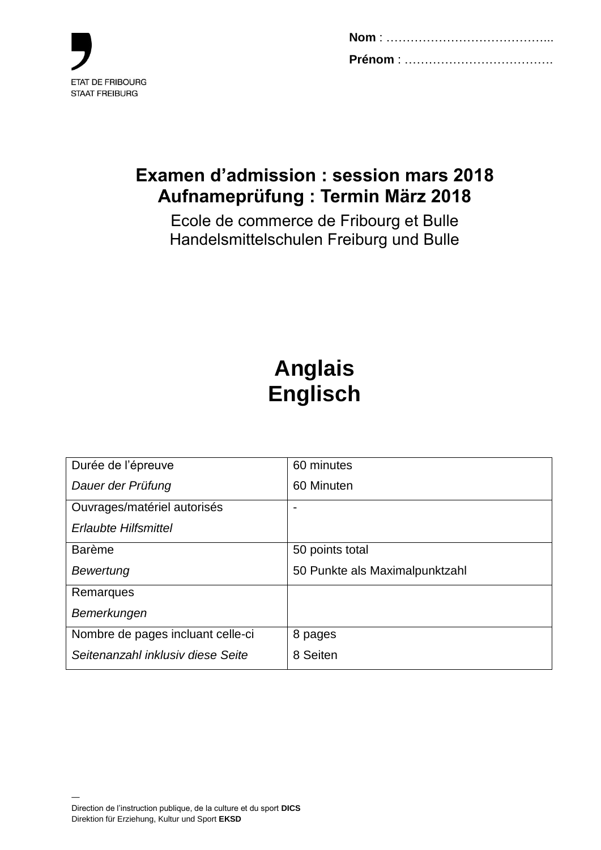

## **Examen d'admission : session mars 2018 Aufnameprüfung : Termin März 2018**

Ecole de commerce de Fribourg et Bulle Handelsmittelschulen Freiburg und Bulle

# **Anglais Englisch**

| Durée de l'épreuve                | 60 minutes                     |
|-----------------------------------|--------------------------------|
| Dauer der Prüfung                 | 60 Minuten                     |
| Ouvrages/matériel autorisés       |                                |
| <b>Erlaubte Hilfsmittel</b>       |                                |
| <b>Barème</b>                     | 50 points total                |
| Bewertung                         | 50 Punkte als Maximalpunktzahl |
| Remarques                         |                                |
| Bemerkungen                       |                                |
| Nombre de pages incluant celle-ci | 8 pages                        |
| Seitenanzahl inklusiv diese Seite | 8 Seiten                       |

—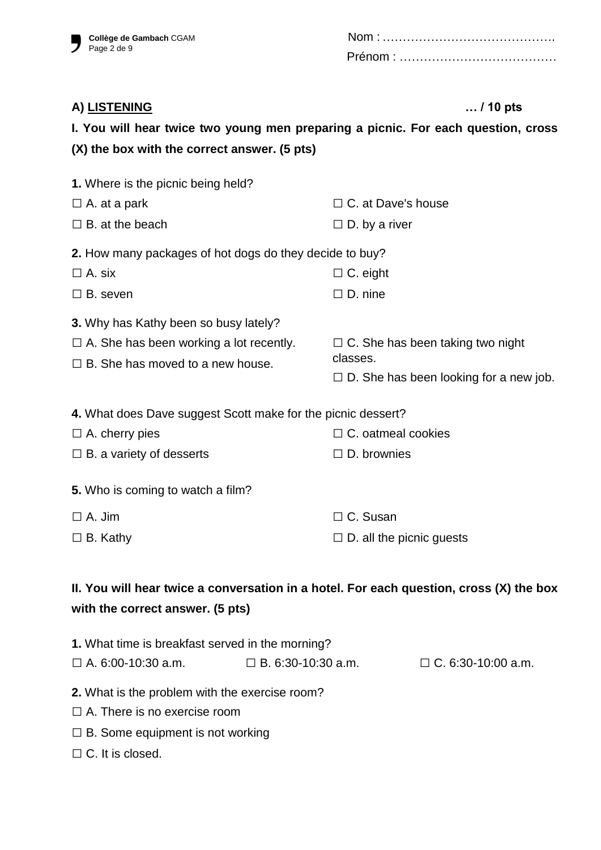|   | Collège de Gambach CGAM |
|---|-------------------------|
| ノ | Page 2 de 9             |

| Collège de Gambach CGAM |  |
|-------------------------|--|
| Page 2 de 9             |  |

| A) LISTENING                                                                      | $ / 10$ pts                                                                             |  |  |  |  |  |  |
|-----------------------------------------------------------------------------------|-----------------------------------------------------------------------------------------|--|--|--|--|--|--|
| I. You will hear twice two young men preparing a picnic. For each question, cross |                                                                                         |  |  |  |  |  |  |
| (X) the box with the correct answer. (5 pts)                                      |                                                                                         |  |  |  |  |  |  |
| 1. Where is the picnic being held?                                                |                                                                                         |  |  |  |  |  |  |
| $\Box$ A. at a park                                                               | $\Box$ C. at Dave's house                                                               |  |  |  |  |  |  |
| $\Box$ B. at the beach                                                            | $\Box$ D. by a river                                                                    |  |  |  |  |  |  |
|                                                                                   |                                                                                         |  |  |  |  |  |  |
| 2. How many packages of hot dogs do they decide to buy?                           |                                                                                         |  |  |  |  |  |  |
| $\Box$ A. six                                                                     | $\Box$ C. eight                                                                         |  |  |  |  |  |  |
| $\Box$ B. seven                                                                   | $\Box$ D. nine                                                                          |  |  |  |  |  |  |
| 3. Why has Kathy been so busy lately?                                             |                                                                                         |  |  |  |  |  |  |
| $\Box$ A. She has been working a lot recently.                                    | $\Box$ C. She has been taking two night                                                 |  |  |  |  |  |  |
| $\Box$ B. She has moved to a new house.                                           | classes.                                                                                |  |  |  |  |  |  |
|                                                                                   | $\Box$ D. She has been looking for a new job.                                           |  |  |  |  |  |  |
| 4. What does Dave suggest Scott make for the picnic dessert?                      |                                                                                         |  |  |  |  |  |  |
| $\Box$ A. cherry pies                                                             | $\Box$ C. oatmeal cookies                                                               |  |  |  |  |  |  |
| $\Box$ B. a variety of desserts                                                   | $\Box$ D. brownies                                                                      |  |  |  |  |  |  |
|                                                                                   |                                                                                         |  |  |  |  |  |  |
| 5. Who is coming to watch a film?                                                 |                                                                                         |  |  |  |  |  |  |
| $\Box$ A. Jim                                                                     | $\Box$ C. Susan                                                                         |  |  |  |  |  |  |
| $\Box$ B. Kathy                                                                   | $\Box$ D. all the picnic guests                                                         |  |  |  |  |  |  |
|                                                                                   |                                                                                         |  |  |  |  |  |  |
|                                                                                   | II. You will hear twice a conversation in a hotel. For each question, cross (X) the box |  |  |  |  |  |  |
| with the correct answer. (5 pts)                                                  |                                                                                         |  |  |  |  |  |  |
| 1. What time is breakfast served in the morning?                                  |                                                                                         |  |  |  |  |  |  |
| $\Box$ A. 6:00-10:30 a.m.<br>$\Box$ B. 6:30-10:30 a.m.                            | $\Box$ C. 6:30-10:00 a.m.                                                               |  |  |  |  |  |  |
|                                                                                   |                                                                                         |  |  |  |  |  |  |
| 2. What is the problem with the exercise room?                                    |                                                                                         |  |  |  |  |  |  |
| $\Box$ A. There is no exercise room                                               |                                                                                         |  |  |  |  |  |  |

□ B. Some equipment is not working

 $\Box$  C. It is closed.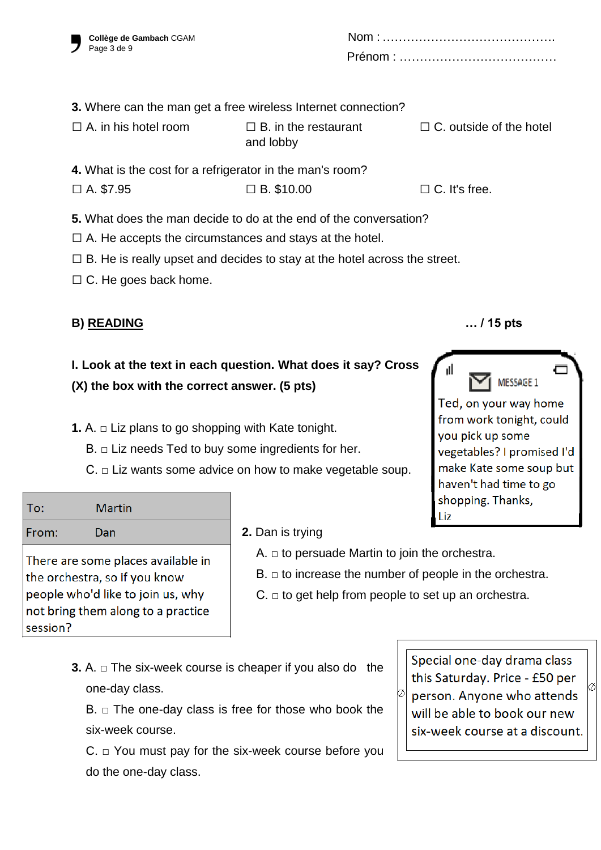| Collège de Gambach CGAM |  |
|-------------------------|--|
| Page 3 de 9             |  |

|  |  |  | 3. Where can the man get a free wireless Internet connection? |
|--|--|--|---------------------------------------------------------------|
|  |  |  |                                                               |

 $\Box$  A. in his hotel room  $\Box$  B. in the restaurant and lobby

 $\Box$  C. outside of the hotel

**4.** What is the cost for a refrigerator in the man's room?

 $\square$  A. \$7.95  $\square$  B. \$10.00  $\square$  C. It's free.

**5.** What does the man decide to do at the end of the conversation?

 $\Box$  A. He accepts the circumstances and stavs at the hotel.

 $\Box$  B. He is really upset and decides to stay at the hotel across the street.

 $\Box$  C. He goes back home.

### **B) READING … / 15 pts**

## **I. Look at the text in each question. What does it say? Cross (X) the box with the correct answer. (5 pts)**

- **1.** A.  $\Box$  Liz plans to go shopping with Kate tonight.
	- $B. \Box$  Liz needs Ted to buy some ingredients for her.
	- C.  $\Box$  Liz wants some advice on how to make vegetable soup.



Ted, on your way home from work tonight, could you pick up some vegetables? I promised I'd make Kate some soup but haven't had time to go shopping. Thanks, Liz

| l To: | Martin                                    |
|-------|-------------------------------------------|
| From: | Dan                                       |
|       | $\sf{There}$ are some places available in |

the orchestra, so if you know people who'd like to join us, why not bring them along to a practice session?

**2.** Dan is trying

A.  $\Box$  to persuade Martin to join the orchestra.

 $B. \Box$  to increase the number of people in the orchestra.

C.  $\Box$  to get help from people to set up an orchestra.

**3.** A. □ The six-week course is cheaper if you also do the one-day class.

 $B. \Box$  The one-day class is free for those who book the six-week course.

C.  $\Box$  You must pay for the six-week course before you do the one-day class.

Special one-day drama class this Saturday. Price - £50 per person. Anyone who attends will be able to book our new six-week course at a discount.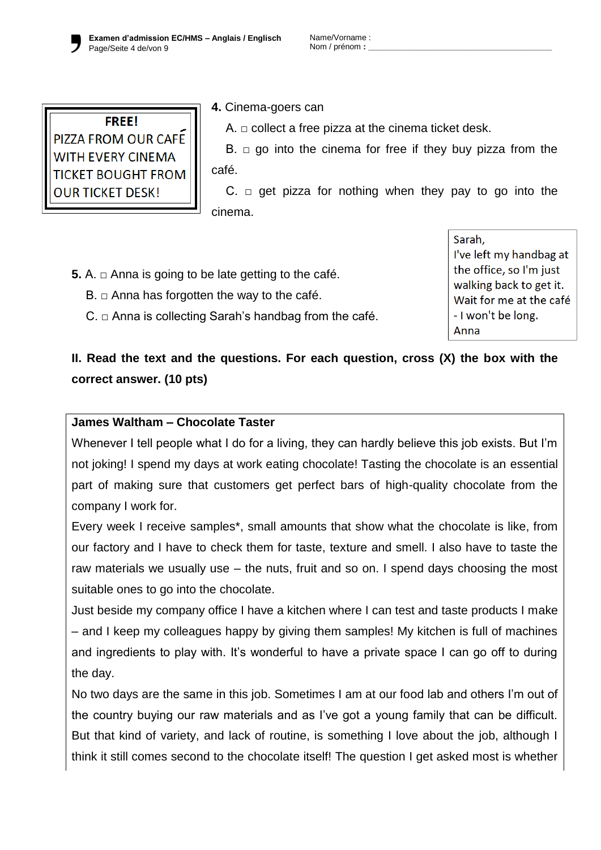Name/Vorname : Nom / prénom **: \_\_\_\_\_\_\_\_\_\_\_\_\_\_\_\_\_\_\_\_\_\_\_\_\_\_\_\_\_\_\_\_\_\_\_\_\_\_\_\_\_**



**4.** Cinema-goers can

A.  $\Box$  collect a free pizza at the cinema ticket desk.

B.  $\Box$  go into the cinema for free if they buy pizza from the café.

C.  $\Box$  get pizza for nothing when they pay to go into the cinema.

- **5.** A. □ Anna is going to be late getting to the café.
	- $B. \Box$  Anna has forgotten the way to the café.
	- C.  $\Box$  Anna is collecting Sarah's handbag from the café.

Sarah. I've left my handbag at the office, so I'm just walking back to get it. Wait for me at the café - I won't be long. Anna

## **II. Read the text and the questions. For each question, cross (X) the box with the correct answer. (10 pts)**

#### **James Waltham – Chocolate Taster**

Whenever I tell people what I do for a living, they can hardly believe this job exists. But I'm not joking! I spend my days at work eating chocolate! Tasting the chocolate is an essential part of making sure that customers get perfect bars of high-quality chocolate from the company I work for.

Every week I receive samples\*, small amounts that show what the chocolate is like, from our factory and I have to check them for taste, texture and smell. I also have to taste the raw materials we usually use – the nuts, fruit and so on. I spend days choosing the most suitable ones to go into the chocolate.

Just beside my company office I have a kitchen where I can test and taste products I make – and I keep my colleagues happy by giving them samples! My kitchen is full of machines and ingredients to play with. It's wonderful to have a private space I can go off to during the day.

No two days are the same in this job. Sometimes I am at our food lab and others I'm out of the country buying our raw materials and as I've got a young family that can be difficult. But that kind of variety, and lack of routine, is something I love about the job, although I think it still comes second to the chocolate itself! The question I get asked most is whether

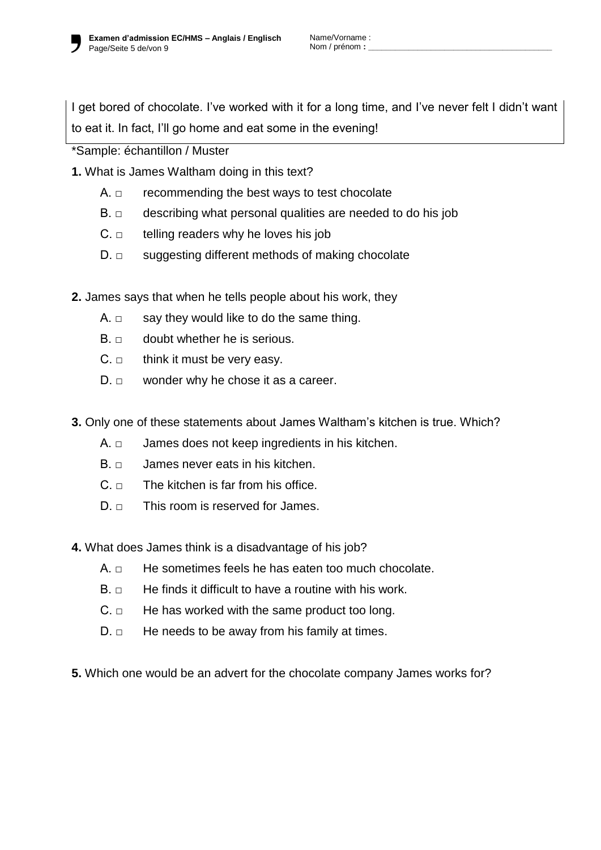I get bored of chocolate. I've worked with it for a long time, and I've never felt I didn't want to eat it. In fact, I'll go home and eat some in the evening!

\*Sample: échantillon / Muster

- **1.** What is James Waltham doing in this text?
	- A.  $\Box$  recommending the best ways to test chocolate
	- B. □ describing what personal qualities are needed to do his job
	- $C.  $\Box$$  telling readers why he loves his job
	- D. □ suggesting different methods of making chocolate
- **2.** James says that when he tells people about his work, they
	- A.  $\Box$  say they would like to do the same thing.
	- $B \nightharpoonup$  doubt whether he is serious.
	- $C. \Box$  think it must be very easy.
	- D. □ wonder why he chose it as a career.
- **3.** Only one of these statements about James Waltham's kitchen is true. Which?
	- A.  $\Box$  James does not keep ingredients in his kitchen.
	- $B.  $\Box$  James never eats in his kitchen.$
	- $C \nightharpoonup$  The kitchen is far from his office.
	- D. □ This room is reserved for James.
- **4.** What does James think is a disadvantage of his job?
	- A.  $\Box$  He sometimes feels he has eaten too much chocolate.
	- $B. \Box$  He finds it difficult to have a routine with his work.
	- C.  $\Box$  He has worked with the same product too long.
	- $D. \Box$  He needs to be away from his family at times.
- **5.** Which one would be an advert for the chocolate company James works for?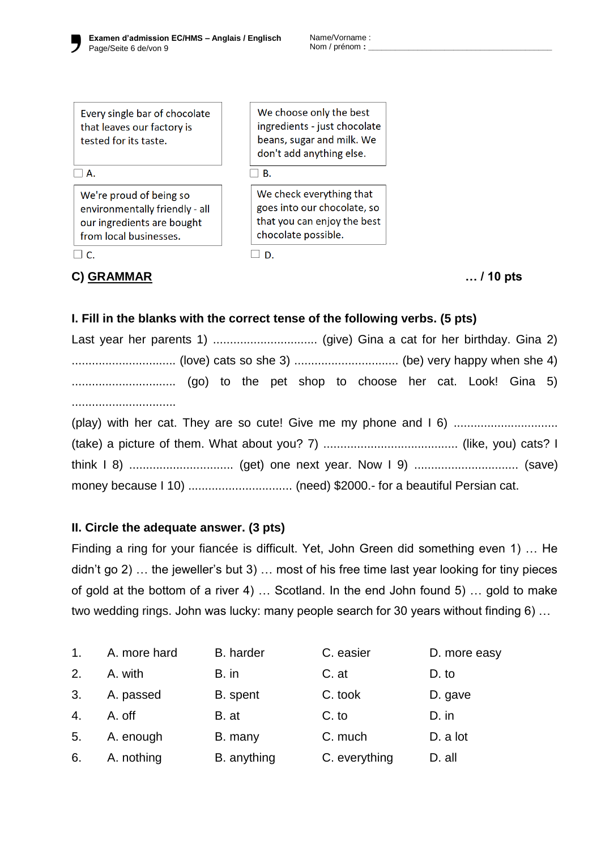Name/Vorname : Nom / prénom **: \_\_\_\_\_\_\_\_\_\_\_\_\_\_\_\_\_\_\_\_\_\_\_\_\_\_\_\_\_\_\_\_\_\_\_\_\_\_\_\_\_**

| Every single bar of chocolate<br>that leaves our factory is<br>tested for its taste.                              | We choose only the best<br>ingredients - just chocolate<br>beans, sugar and milk. We<br>don't add anything else. |
|-------------------------------------------------------------------------------------------------------------------|------------------------------------------------------------------------------------------------------------------|
| Α.                                                                                                                | В.                                                                                                               |
| We're proud of being so<br>environmentally friendly - all<br>our ingredients are bought<br>from local businesses. | We check everything that<br>goes into our chocolate, so<br>that you can enjoy the best<br>chocolate possible.    |
|                                                                                                                   | רו                                                                                                               |

 $\sqcup$  C.

 $\Box$  D.

**C) GRAMMAR … / 10 pts** 

#### **I. Fill in the blanks with the correct tense of the following verbs. (5 pts)**

#### **II. Circle the adequate answer. (3 pts)**

Finding a ring for your fiancée is difficult. Yet, John Green did something even 1) … He didn't go 2) … the jeweller's but 3) … most of his free time last year looking for tiny pieces of gold at the bottom of a river 4) … Scotland. In the end John found 5) … gold to make two wedding rings. John was lucky: many people search for 30 years without finding 6) …

| $\mathbf{1}$ . | A. more hard | <b>B.</b> harder | C. easier     | D. more easy |
|----------------|--------------|------------------|---------------|--------------|
| 2.             | A. with      | B. in            | C. at         | D. to        |
| 3.             | A. passed    | B. spent         | C. took       | D. gave      |
| 4.             | A. off       | B. at            | C. to         | D. in        |
| 5.             | A. enough    | B. many          | C. much       | D. a lot     |
| 6.             | A. nothing   | B. anything      | C. everything | D. all       |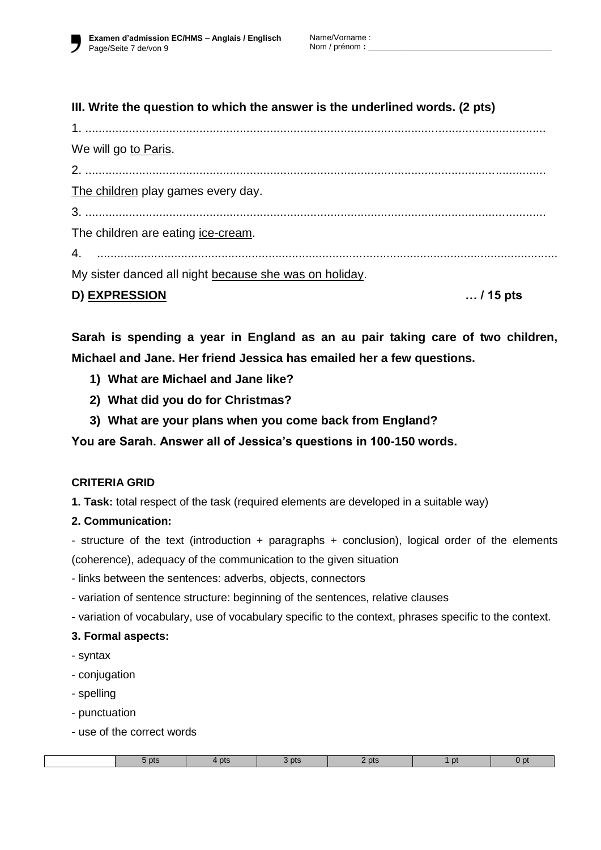#### **III. Write the question to which the answer is the underlined words. (2 pts)**

| We will go to Paris.                                   |             |
|--------------------------------------------------------|-------------|
|                                                        |             |
| The children play games every day.                     |             |
|                                                        |             |
| The children are eating ice-cream.                     |             |
|                                                        |             |
| My sister danced all night because she was on holiday. |             |
| <b>D) EXPRESSION</b>                                   | $ / 15$ pts |

## **Sarah is spending a year in England as an au pair taking care of two children, Michael and Jane. Her friend Jessica has emailed her a few questions.**

- **1) What are Michael and Jane like?**
- **2) What did you do for Christmas?**
- **3) What are your plans when you come back from England?**

**You are Sarah. Answer all of Jessica's questions in 100-150 words.**

#### **CRITERIA GRID**

**1. Task:** total respect of the task (required elements are developed in a suitable way)

#### **2. Communication:**

- structure of the text (introduction + paragraphs + conclusion), logical order of the elements (coherence), adequacy of the communication to the given situation

- links between the sentences: adverbs, objects, connectors
- variation of sentence structure: beginning of the sentences, relative clauses
- variation of vocabulary, use of vocabulary specific to the context, phrases specific to the context.

#### **3. Formal aspects:**

- syntax
- conjugation
- spelling
- punctuation
- use of the correct words

| pts | ाण | pts | $^{\prime}$ pt. | <sub>n</sub><br>. |  |
|-----|----|-----|-----------------|-------------------|--|
|     |    |     |                 |                   |  |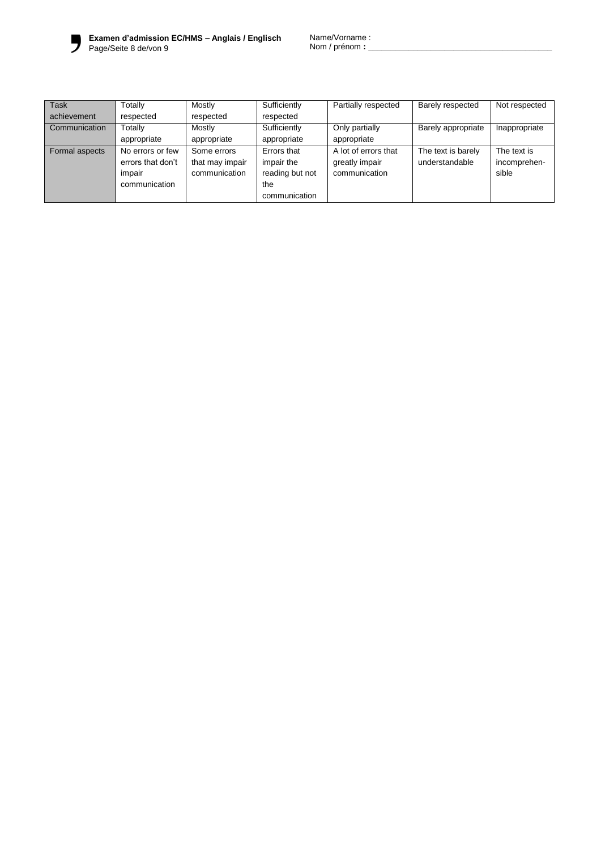

| <b>Task</b>    | Totally           | Mostly          | Sufficiently    | Partially respected  | Barely respected   | Not respected |
|----------------|-------------------|-----------------|-----------------|----------------------|--------------------|---------------|
| achievement    | respected         | respected       | respected       |                      |                    |               |
| Communication  | Totally           | Mostly          | Sufficiently    | Only partially       | Barely appropriate | Inappropriate |
|                | appropriate       | appropriate     | appropriate     | appropriate          |                    |               |
| Formal aspects | No errors or few  | Some errors     | Errors that     | A lot of errors that | The text is barely | The text is   |
|                | errors that don't | that may impair | impair the      | greatly impair       | understandable     | incomprehen-  |
|                | impair            | communication   | reading but not | communication        |                    | sible         |
|                | communication     |                 | the             |                      |                    |               |
|                |                   |                 | communication   |                      |                    |               |